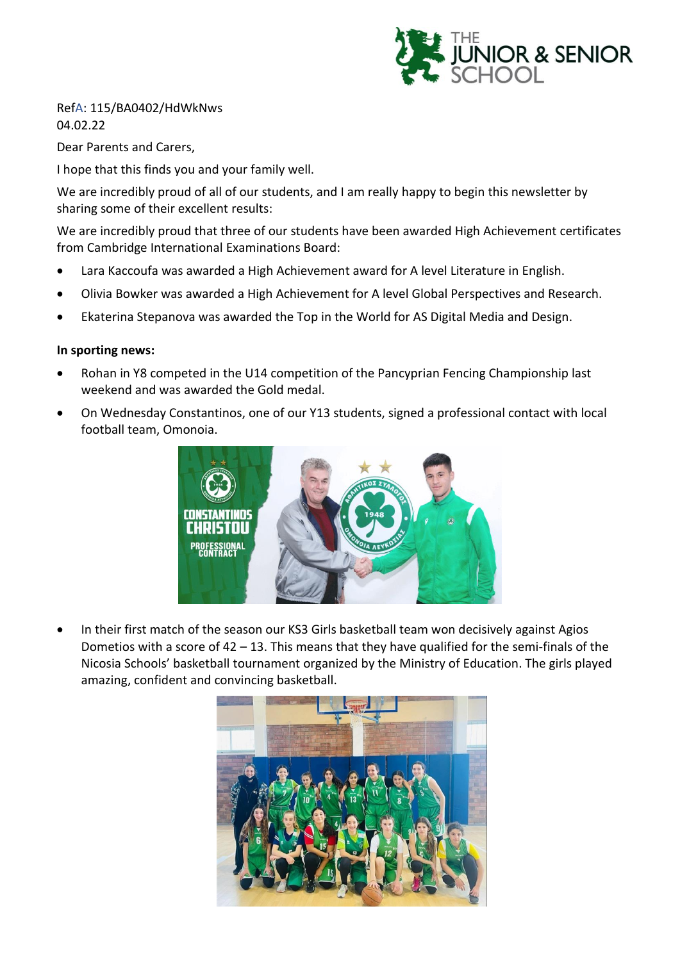

#### RefA: 115/BA0402/HdWkNws 04.02.22

Dear Parents and Carers,

I hope that this finds you and your family well.

We are incredibly proud of all of our students, and I am really happy to begin this newsletter by sharing some of their excellent results:

We are incredibly proud that three of our students have been awarded High Achievement certificates from Cambridge International Examinations Board:

- Lara Kaccoufa was awarded a High Achievement award for A level Literature in English.
- Olivia Bowker was awarded a High Achievement for A level Global Perspectives and Research.
- Ekaterina Stepanova was awarded the Top in the World for AS Digital Media and Design.

#### **In sporting news:**

- Rohan in Y8 competed in the U14 competition of the Pancyprian Fencing Championship last weekend and was awarded the Gold medal.
- On Wednesday Constantinos, one of our Y13 students, signed a professional contact with local football team, Omonoia.



• In their first match of the season our KS3 Girls basketball team won decisively against Agios Dometios with a score of 42 – 13. This means that they have qualified for the semi-finals of the Nicosia Schools' basketball tournament organized by the Ministry of Education. The girls played amazing, confident and convincing basketball.